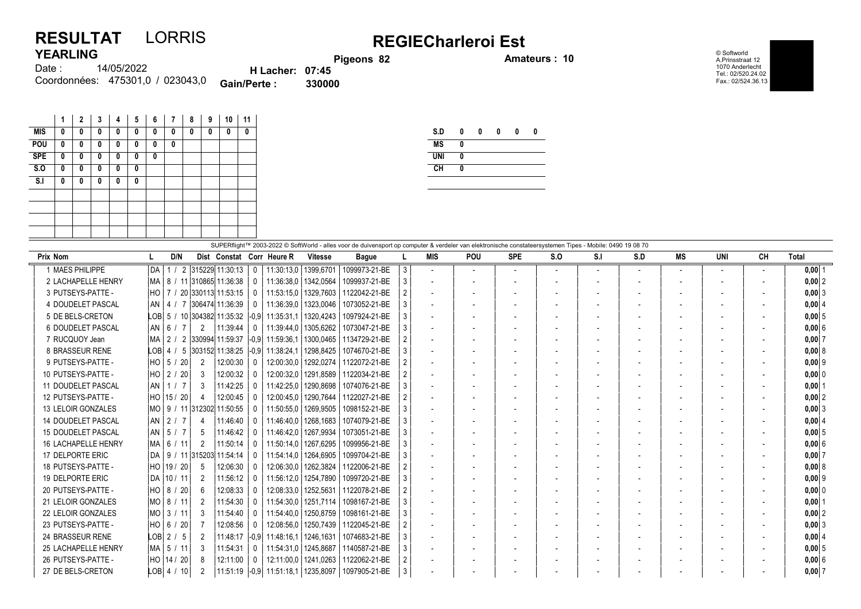## RESULTAT LORRIS<br>
YEARLING Pigeons 82 Process 82 Amateurs : 10 YEARLING

© Softworld A.Prinsstraat 12 1070 Anderlecht Tel.: 02/520.24.02 Fax.: 02/524.36.13

| <b>YEARLING</b>                  |                        | Pigeons 82 |
|----------------------------------|------------------------|------------|
| 14/05/2022<br>Date :             | <b>H</b> Lacher: 07:45 |            |
| Coordonnées: 475301,0 / 023043,0 | <b>Gain/Perte:</b>     | 330000     |

| 1 | $\mathbf{2}$ | 3 | 4 | 5            | 6 | 7 | 8 | 9 | 10 | 11 |
|---|--------------|---|---|--------------|---|---|---|---|----|----|
| 0 | 0            | 0 | 0 | 0            | 0 | 0 | 0 | 0 | 0  | 0  |
| 0 | 0            | 0 | 0 | 0            | 0 | 0 |   |   |    |    |
| 0 | O            | 0 | O | $\mathbf{0}$ | 0 |   |   |   |    |    |
| 0 | 0            | 0 | 0 | 0            |   |   |   |   |    |    |
| 0 | 0            | 0 | 0 | 0            |   |   |   |   |    |    |
|   |              |   |   |              |   |   |   |   |    |    |
|   |              |   |   |              |   |   |   |   |    |    |
|   |              |   |   |              |   |   |   |   |    |    |
|   |              |   |   |              |   |   |   |   |    |    |
|   |              |   |   |              |   |   |   |   |    |    |

| S.D        | 0 | 0 | 0 | 0 | 0 |
|------------|---|---|---|---|---|
| <b>MS</b>  | 0 |   |   |   |   |
| <b>UNI</b> | 0 |   |   |   |   |
| <b>CH</b>  | 0 |   |   |   |   |

|                            | SUPERflight™ 2003-2022 © SoftWorld - alles voor de duivensport op computer & verdeler van elektronische constateersystemen Tipes - Mobile: 0490 19 08 70 |                           |              |                        |                |               |                |                          |                          |            |                |     |     |                          |        |    |            |
|----------------------------|----------------------------------------------------------------------------------------------------------------------------------------------------------|---------------------------|--------------|------------------------|----------------|---------------|----------------|--------------------------|--------------------------|------------|----------------|-----|-----|--------------------------|--------|----|------------|
| Prix Nom                   | D/N                                                                                                                                                      | Dist Constat Corr Heure R |              |                        | <b>Vitesse</b> | <b>Bague</b>  |                | <b>MIS</b>               | <b>POU</b>               | <b>SPE</b> | S.O            | S.I | S.D | MS                       | UNI    | CН | Total      |
| 1 MAES PHILIPPE            | 1 / 2 315229 11:30:13<br>l DA                                                                                                                            |                           | $\Omega$     | 11:30:13,0   1399,6701 |                | 1099973-21-BE | 3 <sup>1</sup> | $\overline{\phantom{a}}$ | $\overline{\phantom{a}}$ |            | $\overline{a}$ |     |     | $\overline{\phantom{a}}$ | $\sim$ |    | $0,00$ 1   |
| 2 LACHAPELLE HENRY         | MA   8 / 11  310865  11:36:38                                                                                                                            |                           |              | 11:36:38.0             | 1342.0564      | 1099937-21-BE | 3              | $\blacksquare$           |                          |            |                |     |     | $\overline{\phantom{a}}$ |        |    | $0,00$  2  |
| 3 PUTSEYS-PATTE -          | HO   7 / 20 330113 11:53:15                                                                                                                              |                           |              | 11:53:15.0   1329.7603 |                | 1122042-21-BE |                | $\overline{a}$           |                          |            |                |     |     | $\overline{\phantom{a}}$ |        |    | $0,00$ 3   |
| 4 DOUDELET PASCAL          | AN   4 / 7   306474   11:36:39                                                                                                                           |                           |              | 11:36:39,0             | 1323,0046      | 1073052-21-BE |                | $\overline{\phantom{a}}$ |                          |            |                |     |     | $\overline{\phantom{a}}$ |        |    | 0,00   4   |
| 5 DE BELS-CRETON           | LOB 5 / 10 304382 11:35:32 -0.9                                                                                                                          |                           |              | 11:35:31.1             | 1320.4243      | 1097924-21-BE |                |                          |                          |            |                |     |     | $\overline{\phantom{a}}$ |        |    | $0,00$ 5   |
| 6 DOUDELET PASCAL          | AN   6 / 7<br>2                                                                                                                                          | 11:39:44                  | $\Omega$     | 11:39:44,0             | 1305,6262      | 1073047-21-BE | 3 <sup>1</sup> | $\overline{\phantom{a}}$ |                          |            |                |     |     |                          |        |    | 0,006      |
| 7 RUCQUOY Jean             | MA   2 / 2  330994 11:59:37                                                                                                                              |                           | $ -0.9 $     | 11:59:36.1             | 1300.0465      | 1134729-21-BE |                | $\overline{a}$           |                          |            |                |     |     | $\overline{\phantom{a}}$ |        |    | $0,00$ 7   |
| 8 BRASSEUR RENE            | LOB   4 / 5   303152   11:38:25                                                                                                                          |                           | $ -0.9 $     | 11:38:24.1             | 1298,8425      | 1074670-21-BE | 3              | $\overline{\phantom{a}}$ |                          |            |                |     |     |                          |        |    | 0,00   8   |
| 9 PUTSEYS-PATTE -          | $HO$ 5 /<br>20<br>$\overline{2}$                                                                                                                         | 12:00:30                  | $\Omega$     | 12:00:30.0             | 1292.0274      | 1122072-21-BE |                | $\overline{\phantom{a}}$ |                          |            |                |     |     |                          |        |    | $0,00$ 9   |
| 10 PUTSEYS-PATTE -         | HO 2 / 20<br>3                                                                                                                                           | 12:00:32                  | $\Omega$     | 12:00:32.0             | 1291,8589      | 1122034-21-BE |                | $\overline{a}$           |                          |            |                |     |     |                          |        |    | 0,00 0     |
| 11 DOUDELET PASCAL         | AN 1 / 7<br>3                                                                                                                                            | 11:42:25                  |              | 11:42:25.0             | 1290.8698      | 1074076-21-BE |                | $\overline{\phantom{a}}$ |                          |            |                |     |     | $\overline{\phantom{a}}$ |        |    | 0.0011     |
| 12 PUTSEYS-PATTE -         | HO 15 / 20<br>4                                                                                                                                          | 12:00:45                  | $\Omega$     | 12:00:45.0             | 1290.7644      | 1122027-21-BE |                |                          |                          |            |                |     |     |                          |        |    | $0,00$ 2   |
| 13 LELOIR GONZALES         | MO   9 / 11  312302  11:50:55                                                                                                                            |                           |              | 11:50:55.0             | 1269.9505      | 1098152-21-BE |                | $\blacksquare$           |                          |            |                |     |     | $\overline{\phantom{a}}$ |        |    | $0,00$ 3   |
| <b>14 DOUDELET PASCAL</b>  | AN $\vert$ 2 / 7<br>4                                                                                                                                    | 11:46:40                  |              | 11:46:40.0             | 1268,1683      | 1074079-21-BE |                | $\overline{\phantom{a}}$ |                          |            |                |     |     |                          |        |    | 0,0014     |
| <b>15 DOUDELET PASCAL</b>  | AN 5 / 7<br>5                                                                                                                                            | 11:46:42                  |              | 11:46:42,0             | 1267,9934      | 1073051-21-BE |                | $\blacksquare$           |                          |            |                |     |     | $\overline{\phantom{a}}$ |        |    | $0,00$ 5   |
| <b>16 LACHAPELLE HENRY</b> | MA 6 / 11<br>2                                                                                                                                           | 11:50:14                  |              | 11:50:14.0             | 1267.6295      | 1099956-21-BE |                | $\overline{\phantom{a}}$ |                          |            |                |     |     |                          |        |    | 0,006      |
| 17 DELPORTE ERIC           | DA   9 / 11 315203  11:54:14                                                                                                                             |                           |              | 11:54:14.0             | 1264,6905      | 1099704-21-BE | 3 <sup>1</sup> | $\overline{\phantom{a}}$ |                          |            |                |     |     | $\overline{\phantom{a}}$ |        |    | $0,00$ 7   |
| 18 PUTSEYS-PATTE -         | HO 19 / 20<br>5                                                                                                                                          | 12:06:30                  |              | 12:06:30.0             | 1262,3824      | 1122006-21-BE | $\overline{2}$ | $\overline{a}$           |                          |            |                |     |     | $\overline{\phantom{a}}$ |        |    | 0,008      |
| 19 DELPORTE ERIC           | 2<br> DA   10 / 11                                                                                                                                       | 11:56:12                  | $\Omega$     | 11:56:12.0             | 1254.7890      | 1099720-21-BE | 3              | $\overline{\phantom{a}}$ |                          |            |                |     |     | $\overline{\phantom{a}}$ |        |    | $0,00$  9  |
| 20 PUTSEYS-PATTE -         | $HO$ 8 / 20<br>6                                                                                                                                         | 12:08:33                  |              | 12:08:33.0             | 1252,5631      | 1122078-21-BE |                | $\overline{\phantom{a}}$ |                          |            |                |     |     | $\overline{\phantom{a}}$ |        |    | 0,000      |
| 21 LELOIR GONZALES         | MO   8 / 11<br>$\overline{2}$                                                                                                                            | 11:54:30                  | $\Omega$     | 11:54:30,0             | 1251,7114      | 1098167-21-BE | 3              |                          |                          |            |                |     |     |                          |        |    | $0,00$   1 |
| 22 LELOIR GONZALES         | MO   3 / 11<br>3                                                                                                                                         | 11:54:40                  |              | 11:54:40.0             | 1250.8759      | 1098161-21-BE |                |                          |                          |            |                |     |     | $\overline{\phantom{a}}$ |        |    | 0.0012     |
| 23 PUTSEYS-PATTE -         | HO 6 / 20                                                                                                                                                | 12:08:56                  | $\mathsf{O}$ | 12:08:56.0             | 1250.7439      | 1122045-21-BE |                |                          |                          |            |                |     |     |                          |        |    | $0,00$ 3   |
| 24 BRASSEUR RENE           | $LOB$ 2 / 5<br>2                                                                                                                                         | 11:48:17                  | $ -0.9 $     | 11:48:16.1             | 1246,1631      | 1074683-21-BE | 3              | $\overline{\phantom{a}}$ |                          |            |                |     |     | $\overline{\phantom{a}}$ |        |    | 0,00   4   |
| 25 LACHAPELLE HENRY        | MA   5 / 11<br>3                                                                                                                                         | 11:54:31                  |              | 11:54:31.0             | 1245,8687      | 1140587-21-BE | 3              | $\overline{\phantom{a}}$ |                          |            |                |     |     | $\overline{\phantom{a}}$ |        |    | $0,00$ 5   |
| 26 PUTSEYS-PATTE -         | HO 14 / 20<br>8                                                                                                                                          | 12:11:00                  |              | 12:11:00,0             | 1241,0263      | 1122062-21-BE | 2              | $\blacksquare$           |                          |            |                |     |     | $\overline{\phantom{a}}$ |        |    | $0,00$ 6   |
| 27 DE BELS-CRETON          | LOB  4  / 10<br>2                                                                                                                                        | $11:51:19$ -0.9           |              | 11:51:18.1   1235,8097 |                | 1097905-21-BE | 3              |                          |                          |            |                |     |     |                          |        |    | $0,00$ 7   |